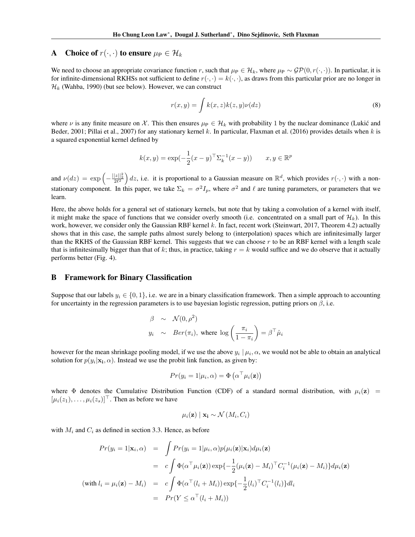## A Choice of  $r(\cdot, \cdot)$  to ensure  $\mu_{\text{P}} \in \mathcal{H}_k$

We need to choose an appropriate covariance function *r*, such that  $\mu_P \in \mathcal{H}_k$ , where  $\mu_P \sim \mathcal{GP}(0, r(\cdot, \cdot))$ . In particular, it is for infinite-dimensional RKHSs not sufficient to define  $r(\cdot, \cdot) = k(\cdot, \cdot)$ , as draws from this particular prior are no longer in  $\mathcal{H}_k$  (Wahba, 1990) (but see below). However, we can construct

$$
r(x,y) = \int k(x,z)k(z,y)\nu(dz)
$$
\n(8)

where  $\nu$  is any finite measure on  $\chi$ . This then ensures  $\mu_{\rm P} \in \mathcal{H}_k$  with probability 1 by the nuclear dominance (Lukic and Beder, 2001; Pillai et al., 2007) for any stationary kernel *k*. In particular, Flaxman et al. (2016) provides details when *k* is a squared exponential kernel defined by

$$
k(x, y) = \exp(-\frac{1}{2}(x - y)^{\top} \Sigma_k^{-1}(x - y))
$$
  $x, y \in \mathbb{R}^p$ 

and  $\nu(dz) = \exp\left(-\frac{||z||_2^2}{2\ell^2}\right)$ ) dz, i.e. it is proportional to a Gaussian measure on  $\mathbb{R}^d$ , which provides  $r(\cdot, \cdot)$  with a nonstationary component. In this paper, we take  $\Sigma_k = \sigma^2 I_p$ , where  $\sigma^2$  and  $\ell$  are tuning parameters, or parameters that we learn.

Here, the above holds for a general set of stationary kernels, but note that by taking a convolution of a kernel with itself, it might make the space of functions that we consider overly smooth (i.e. concentrated on a small part of  $\mathcal{H}_k$ ). In this work, however, we consider only the Gaussian RBF kernel *k*. In fact, recent work (Steinwart, 2017, Theorem 4.2) actually shows that in this case, the sample paths almost surely belong to (interpolation) spaces which are infinitesimally larger than the RKHS of the Gaussian RBF kernel. This suggests that we can choose *r* to be an RBF kernel with a length scale that is infinitesimally bigger than that of  $k$ ; thus, in practice, taking  $r = k$  would suffice and we do observe that it actually performs better (Fig. 4).

## B Framework for Binary Classification

Suppose that our labels  $y_i \in \{0, 1\}$ , i.e. we are in a binary classification framework. Then a simple approach to accounting for uncertainty in the regression parameters is to use bayesian logistic regression, putting priors on  $\beta$ , i.e.

$$
\beta \sim \mathcal{N}(0, \rho^2)
$$
  
 $y_i \sim Ber(\pi_i)$ , where  $log\left(\frac{\pi_i}{1 - \pi_i}\right) = \beta^{\top} \hat{\mu}_i$ 

however for the mean shrinkage pooling model, if we use the above  $y_i | \mu_i, \alpha$ , we would not be able to obtain an analytical solution for  $p(y_i|\mathbf{x_i}, \alpha)$ . Instead we use the probit link function, as given by:

$$
Pr(y_i = 1 | \mu_i, \alpha) = \Phi\left(\alpha^{\top} \mu_i(\mathbf{z})\right)
$$

where  $\Phi$  denotes the Cumulative Distribution Function (CDF) of a standard normal distribution, with  $\mu_i(z)$  =  $[\mu_i(z_1), \ldots, \mu_i(z_s)]^{\top}$ . Then as before we have

$$
\mu_i(\mathbf{z}) \mid \mathbf{x_i} \sim \mathcal{N}(M_i, C_i)
$$

with  $M_i$  and  $C_i$  as defined in section 3.3. Hence, as before

$$
Pr(y_i = 1 | \mathbf{x}_i, \alpha) = \int Pr(y_i = 1 | \mu_i, \alpha) p(\mu_i(\mathbf{z}) | \mathbf{x}_i) d\mu_i(\mathbf{z})
$$
  

$$
= c \int \Phi(\alpha^\top \mu_i(\mathbf{z})) \exp\{-\frac{1}{2}(\mu_i(\mathbf{z}) - M_i)^\top C_i^{-1}(\mu_i(\mathbf{z}) - M_i)\} d\mu_i(\mathbf{z})
$$
  
(with  $l_i = \mu_i(\mathbf{z}) - M_i$ ) =  $c \int \Phi(\alpha^\top (l_i + M_i)) \exp\{-\frac{1}{2}(l_i)^\top C_i^{-1}(l_i)\} dl_i$   

$$
= Pr(Y \le \alpha^\top (l_i + M_i))
$$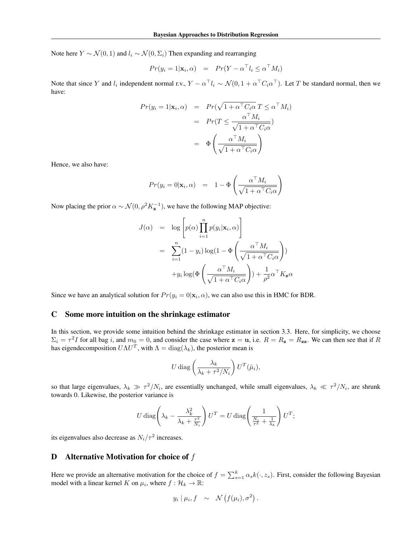Note here  $Y \sim \mathcal{N}(0, 1)$  and  $l_i \sim \mathcal{N}(0, \Sigma_i)$  Then expanding and rearranging

$$
Pr(y_i = 1 | \mathbf{x}_i, \alpha) = Pr(Y - \alpha^{\top} l_i \le \alpha^{\top} M_i)
$$

Note that since *Y* and  $l_i$  independent normal r.v.,  $Y - \alpha^\top l_i \sim \mathcal{N}(0, 1 + \alpha^\top C_i \alpha^\top)$ . Let *T* be standard normal, then we have:

$$
Pr(y_i = 1 | \mathbf{x}_i, \alpha) = Pr(\sqrt{1 + \alpha^{\top} C_i \alpha} T \leq \alpha^{\top} M_i)
$$

$$
= Pr(T \leq \frac{\alpha^{\top} M_i}{\sqrt{1 + \alpha^{\top} C_i \alpha}})
$$

$$
= \Phi\left(\frac{\alpha^{\top} M_i}{\sqrt{1 + \alpha^{\top} C_i \alpha}}\right)
$$

Hence, we also have:

$$
Pr(y_i = 0 | \mathbf{x}_i, \alpha) = 1 - \Phi\left(\frac{\alpha^{\top} M_i}{\sqrt{1 + \alpha^{\top} C_i \alpha}}\right)
$$

Now placing the prior  $\alpha \sim \mathcal{N}(0, \rho^2 K_z^{-1})$ , we have the following MAP objective:

$$
J(\alpha) = \log \left[ p(\alpha) \prod_{i=1}^{n} p(y_i | \mathbf{x}_i, \alpha) \right]
$$
  
= 
$$
\sum_{i=1}^{n} (1 - y_i) \log(1 - \Phi \left( \frac{\alpha^{\top} M_i}{\sqrt{1 + \alpha^{\top} C_i \alpha}} \right))
$$
  
+ 
$$
y_i \log(\Phi \left( \frac{\alpha^{\top} M_i}{\sqrt{1 + \alpha^{\top} C_i \alpha}} \right)) + \frac{1}{\rho^2} \alpha^{\top} K_{\mathbf{z}} \alpha
$$

Since we have an analytical solution for  $Pr(y_i = 0 | \mathbf{x}_i, \alpha)$ , we can also use this in HMC for BDR.

## C Some more intuition on the shrinkage estimator

In this section, we provide some intuition behind the shrinkage estimator in section 3.3. Here, for simplicity, we choose  $\Sigma_i = \tau^2 I$  for all bag *i*, and  $m_0 = 0$ , and consider the case where  $z = u$ , i.e.  $R = R_z = R_{zz}$ . We can then see that if *R* has eigendecomposition  $U\Lambda U^T$ , with  $\Lambda = \text{diag}(\lambda_k)$ , the posterior mean is

$$
U \operatorname{diag}\left(\frac{\lambda_k}{\lambda_k + \tau^2/N_i}\right) U^T(\hat{\mu}_i),
$$

so that large eigenvalues,  $\lambda_k \gg \tau^2/N_i$ , are essentially unchanged, while small eigenvalues,  $\lambda_k \ll \tau^2/N_i$ , are shrunk towards 0. Likewise, the posterior variance is

$$
U \operatorname{diag}\left(\lambda_k - \frac{\lambda_k^2}{\lambda_k + \frac{\tau^2}{N_i}}\right) U^T = U \operatorname{diag}\left(\frac{1}{\frac{N_i}{\tau^2} + \frac{1}{\lambda_k}}\right) U^T;
$$

its eigenvalues also decrease as  $N_i/\tau^2$  increases.

## D Alternative Motivation for choice of *f*

Here we provide an alternative motivation for the choice of  $f = \sum_{s=1}^{k} \alpha_s k(\cdot, z_s)$ . First, consider the following Bayesian model with a linear kernel *K* on  $\mu_i$ , where  $f : \mathcal{H}_k \to \mathbb{R}$ :

$$
y_i | \mu_i, f \sim \mathcal{N}(f(\mu_i), \sigma^2).
$$